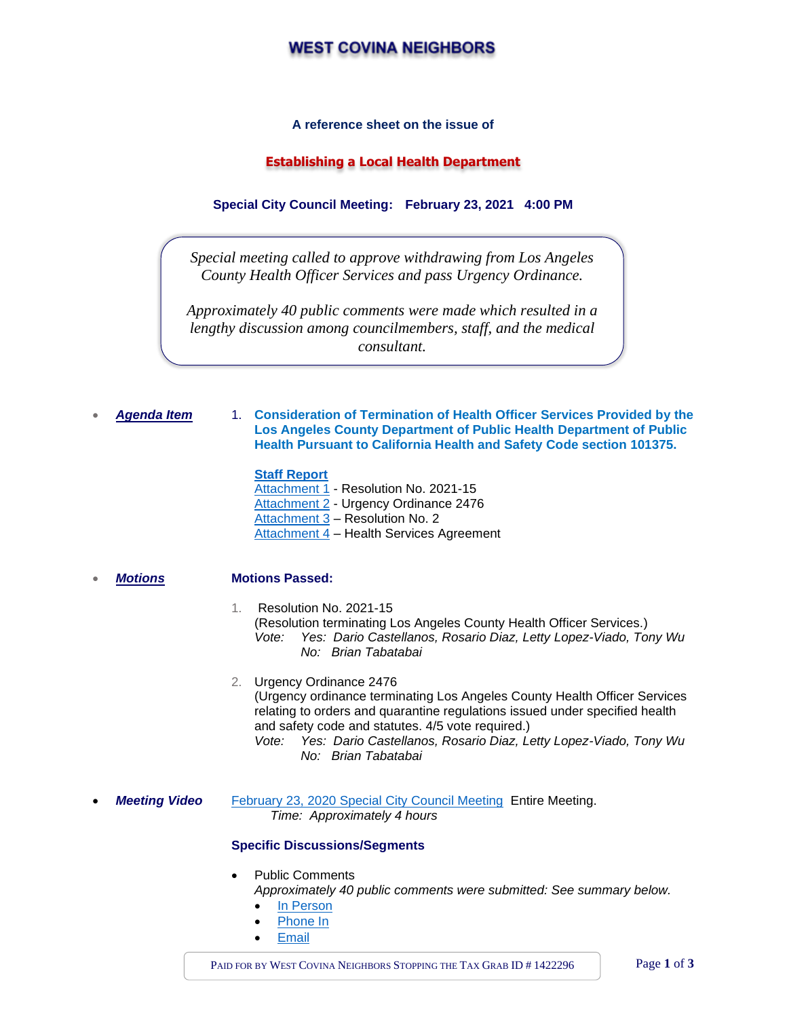# **WEST COVINA NEIGHBORS**

### **A reference sheet on the issue of**

# **Establishing a Local Health Department**

**Special City Council Meeting: February 23, 2021 4:00 PM**

*Special meeting called to approve withdrawing from Los Angeles County Health Officer Services and pass Urgency Ordinance.*

*Approximately 40 public comments were made which resulted in a lengthy discussion among councilmembers, staff, and the medical consultant.*

#### • *Agenda Item* 1. **Consideration of Termination of Health Officer Services Provided by the Los Angeles County Department of Public Health Department of Public Health Pursuant to California Health and Safety Code section 101375.**

## **[Staff Report](https://a5d9eb56-b29f-422e-8a1d-6d172d8b9617.filesusr.com/ugd/840b23_14deefe5c2874f95b0d14c595bcb8b24.pdf)**

[Attachment 1](https://a5d9eb56-b29f-422e-8a1d-6d172d8b9617.filesusr.com/ugd/840b23_0f7ca4c420da4b2fadb62909516ca3f4.pdf) - Resolution No. 2021-15 [Attachment 2](https://a5d9eb56-b29f-422e-8a1d-6d172d8b9617.filesusr.com/ugd/840b23_3e3bf2d595ab48c383c5e14396abf078.pdf) - Urgency Ordinance 2476 [Attachment 3](https://a5d9eb56-b29f-422e-8a1d-6d172d8b9617.filesusr.com/ugd/840b23_76dc13e180984fe0b7d5514306552d4c.pdf) – Resolution No. 2 [Attachment 4](https://a5d9eb56-b29f-422e-8a1d-6d172d8b9617.filesusr.com/ugd/840b23_cf11bb1dee1e44b591bc1297de82ab0f.pdf) – Health Services Agreement

#### • *Motions* **Motions Passed:**

#### 1. Resolution No. 2021-15 (Resolution terminating Los Angeles County Health Officer Services.) *Vote: Yes: Dario Castellanos, Rosario Diaz, Letty Lopez-Viado, Tony Wu No: Brian Tabatabai*

2. Urgency Ordinance 2476 (Urgency ordinance terminating Los Angeles County Health Officer Services relating to orders and quarantine regulations issued under specified health and safety code and statutes. 4/5 vote required.) *Vote: Yes: Dario Castellanos, Rosario Diaz, Letty Lopez-Viado, Tony Wu*

- *No: Brian Tabatabai*
- **Meeting Video** [February 23, 2020 Special City Council Meeting](https://www.youtube.com/watch?v=Oil8bMnVop4&list=PLQPgY826zfW28y1exu0xSFnLjMzRuaWoe&index=102) Entire Meeting.  *Time: Approximately 4 hours*

#### **Specific Discussions/Segments**

Public Comments

*Approximately 40 public comments were submitted: See summary below.*

- [In Person](https://youtu.be/Oil8bMnVop4?t=129)
- [Phone In](https://youtu.be/Oil8bMnVop4?t=5290)
- **[Email](https://www.westcovina.org/Home/ShowDocument?id=19518)**

PAID FOR BY WEST COVINA NEIGHBORS STOPPING THE TAX GRAB ID # 1422296 Page 1 of 3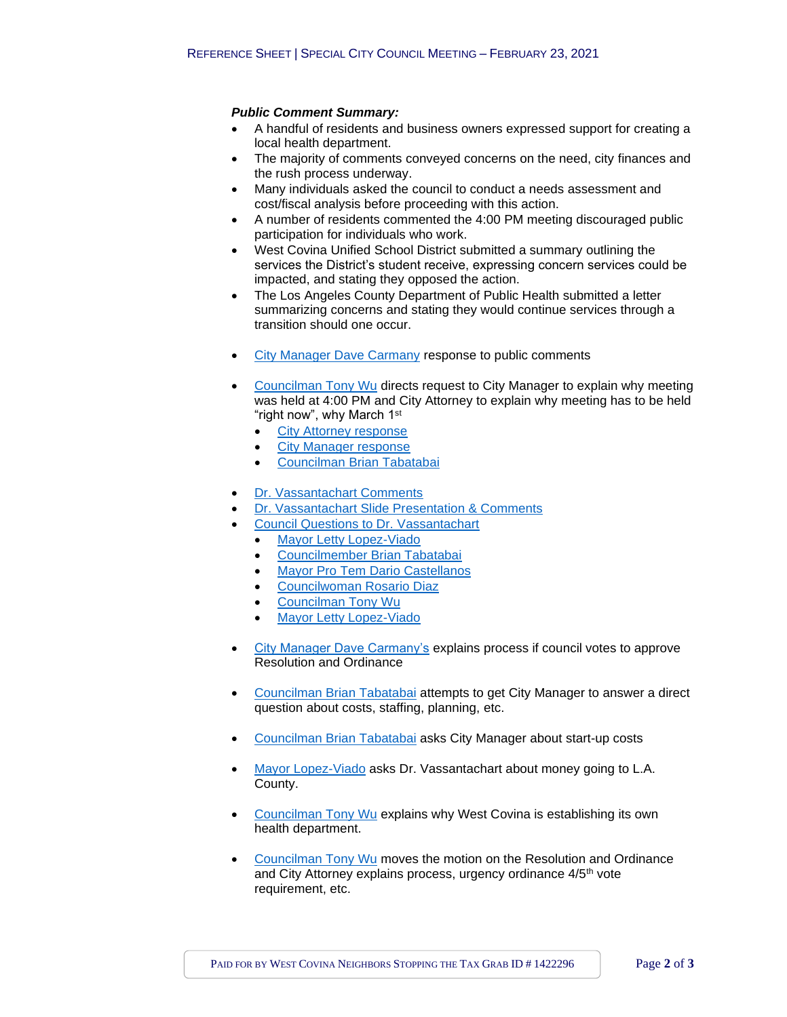# *Public Comment Summary:*

- A handful of residents and business owners expressed support for creating a local health department.
- The majority of comments conveyed concerns on the need, city finances and the rush process underway.
- Many individuals asked the council to conduct a needs assessment and cost/fiscal analysis before proceeding with this action.
- A number of residents commented the 4:00 PM meeting discouraged public participation for individuals who work.
- West Covina Unified School District submitted a summary outlining the services the District's student receive, expressing concern services could be impacted, and stating they opposed the action.
- The Los Angeles County Department of Public Health submitted a letter summarizing concerns and stating they would continue services through a transition should one occur.
- [City Manager Dave Carmany](https://youtu.be/Oil8bMnVop4?t=7285) response to public comments
- [Councilman Tony Wu](https://youtu.be/Oil8bMnVop4?t=7343) directs request to City Manager to explain why meeting was held at 4:00 PM and City Attorney to explain why meeting has to be held "right now", why March 1<sup>st</sup>
	- [City Attorney response](https://youtu.be/Oil8bMnVop4?t=7373)
	- **[City Manager response](https://youtu.be/Oil8bMnVop4?t=7403)**
	- [Councilman Brian Tabatabai](https://youtu.be/Oil8bMnVop4?t=7430)
- [Dr. Vassantachart Comments](https://youtu.be/Oil8bMnVop4?t=7747)
- [Dr. Vassantachart Slide Presentation & Comments](https://youtu.be/Oil8bMnVop4?t=8578)
- [Council Questions to Dr. Vassantachart](https://youtu.be/Oil8bMnVop4?t=9234)
	- [Mayor Letty Lopez-Viado](https://youtu.be/Oil8bMnVop4?t=9639)
	- [Councilmember Brian Tabatabai](https://youtu.be/Oil8bMnVop4?t=9854)
	- [Mayor Pro Tem Dario Castellanos](https://youtu.be/Oil8bMnVop4?t=11051)
	- [Councilwoman Rosario Diaz](https://youtu.be/Oil8bMnVop4?t=11421)
	- [Councilman Tony Wu](https://youtu.be/Oil8bMnVop4?t=11671)
	- [Mayor Letty Lopez-Viado](https://youtu.be/Oil8bMnVop4?t=12461)
- [City Manager Dave Carmany's](https://youtu.be/Oil8bMnVop4?t=12683) explains process if council votes to approve Resolution and Ordinance
- [Councilman Brian Tabatabai](https://www.youtube.com/watch?v=Oil8bMnVop4&t=12771s) attempts to get City Manager to answer a direct question about costs, staffing, planning, etc.
- [Councilman Brian Tabatabai](https://www.youtube.com/watch?v=Oil8bMnVop4&t=13310s) asks City Manager about start-up costs
- [Mayor Lopez-Viado](https://youtu.be/Oil8bMnVop4?t=13625) asks Dr. Vassantachart about money going to L.A. County.
- [Councilman Tony Wu](https://www.youtube.com/watch?v=Oil8bMnVop4&t=13647s) explains why West Covina is establishing its own health department.
- [Councilman Tony Wu](https://www.youtube.com/watch?v=Oil8bMnVop4&t=13873s) moves the motion on the Resolution and Ordinance and City Attorney explains process, urgency ordinance 4/5<sup>th</sup> vote requirement, etc.